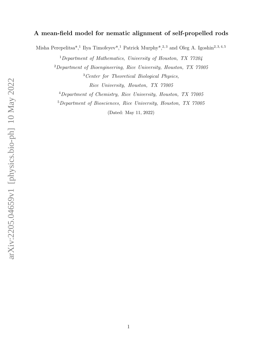# A mean-field model for nematic alignment of self-propelled rods

Misha Perepelitsa<sup>\*</sup>,<sup>1</sup> Ilya Timofeyev<sup>\*</sup>,<sup>1</sup> Patrick Murphy<sup>\*</sup>,<sup>2,3</sup> and Oleg A. Igoshin<sup>2,3,4,5</sup>

<sup>1</sup>Department of Mathematics, University of Houston, TX  $77204$ 

<sup>2</sup>Department of Bioengineering, Rice University, Houston, TX 77005

<sup>3</sup>Center for Theoretical Biological Physics, Rice University, Houston, TX 77005

<sup>4</sup>Department of Chemistry, Rice University, Houston, TX 77005

<sup>5</sup>Department of Biosciences, Rice University, Houston, TX 77005

(Dated: May 11, 2022)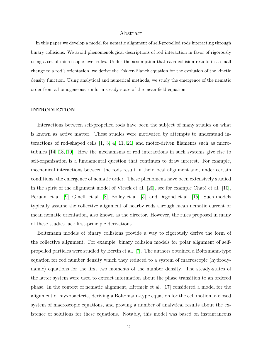# Abstract

In this paper we develop a model for nematic alignment of self-propelled rods interacting through binary collisions. We avoid phenomenological descriptions of rod interaction in favor of rigorously using a set of microscopic-level rules. Under the assumption that each collision results in a small change to a rod's orientation, we derive the Fokker-Planck equation for the evolution of the kinetic density function. Using analytical and numerical methods, we study the emergence of the nematic order from a homogeneous, uniform steady-state of the mean-field equation.

### INTRODUCTION

Interactions between self-propelled rods have been the subject of many studies on what is known as active matter. These studies were motivated by attempts to understand interactions of rod-shaped cells  $\begin{bmatrix} 1, 3, 4, 11, 21 \end{bmatrix}$  $\begin{bmatrix} 1, 3, 4, 11, 21 \end{bmatrix}$  $\begin{bmatrix} 1, 3, 4, 11, 21 \end{bmatrix}$  $\begin{bmatrix} 1, 3, 4, 11, 21 \end{bmatrix}$  $\begin{bmatrix} 1, 3, 4, 11, 21 \end{bmatrix}$  and motor-driven filaments such as microtubules [\[14,](#page-15-3) [18,](#page-16-1) [19\]](#page-16-2). How the mechanisms of rod interactions in such systems give rise to self-organization is a fundamental question that continues to draw interest. For example, mechanical interactions between the rods result in their local alignment and, under certain conditions, the emergence of nematic order. These phenomena have been extensively studied in the spirit of the alignment model of Vicsek et al.  $[20]$ , see for example Chaté et al.  $[10]$ , Peruani et al. [\[9\]](#page-15-5), Ginelli et al. [\[8\]](#page-15-6), Bolley et al. [\[5\]](#page-15-7), and Degond et al. [\[15\]](#page-16-4). Such models typically assume the collective alignment of nearby rods through mean nematic current or mean nematic orientation, also known as the director. However, the rules proposed in many of these studies lack first-principle derivations.

Boltzmann models of binary collisions provide a way to rigorously derive the form of the collective alignment. For example, binary collision models for polar alignment of selfpropelled particles were studied by Bertin et al. [\[7\]](#page-15-8). The authors obtained a Boltzmann-type equation for rod number density which they reduced to a system of macroscopic (hydrodynamic) equations for the first two moments of the number density. The steady-states of the latter system were used to extract information about the phase transition to an ordered phase. In the context of nematic alignment, Hittmeir et al. [\[17\]](#page-16-5) considered a model for the alignment of myxobacteria, deriving a Boltzmann-type equation for the cell motion, a closed system of macroscopic equations, and proving a number of analytical results about the existence of solutions for these equations. Notably, this model was based on instantaneous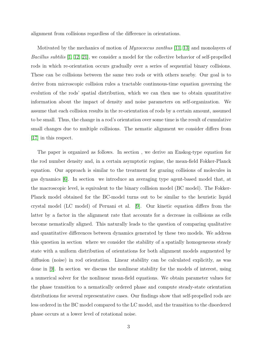alignment from collisions regardless of the difference in orientations.

Motivated by the mechanics of motion of *Myxococcus xanthus* [\[11,](#page-15-2) [13\]](#page-15-9) and monolayers of Bacillus subtilis [\[1,](#page-14-0) [12,](#page-15-10) [21\]](#page-16-0), we consider a model for the collective behavior of self-propelled rods in which re-orientation occurs gradually over a series of sequential binary collisions. These can be collisions between the same two rods or with others nearby. Our goal is to derive from microscopic collision rules a tractable continuous-time equation governing the evolution of the rods' spatial distribution, which we can then use to obtain quantitative information about the impact of density and noise parameters on self-organization. We assume that each collision results in the re-orientation of rods by a certain amount, assumed to be small. Thus, the change in a rod's orientation over some time is the result of cumulative small changes due to multiple collisions. The nematic alignment we consider differs from [\[17\]](#page-16-5) in this respect.

The paper is organized as follows. In section , we derive an Enskog-type equation for the rod number density and, in a certain asymptotic regime, the mean-field Fokker-Planck equation. Our approach is similar to the treatment for grazing collisions of molecules in gas dynamics [\[6\]](#page-15-11). In section we introduce an averaging type agent-based model that, at the macroscopic level, is equivalent to the binary collision model (BC model). The Fokker-Planck model obtained for the BC-model turns out to be similar to the heuristic liquid crystal model (LC model) of Peruani et al. [\[9\]](#page-15-5). Our kinetic equation differs from the latter by a factor in the alignment rate that accounts for a decrease in collisions as cells become nematically aligned. This naturally leads to the question of comparing qualitative and quantitative differences between dynamics generated by these two models. We address this question in section where we consider the stability of a spatially homogeneous steady state with a uniform distribution of orientations for both alignment models augmented by diffusion (noise) in rod orientation. Linear stability can be calculated explicitly, as was done in [\[9\]](#page-15-5). In section we discuss the nonlinear stability for the models of interest, using a numerical solver for the nonlinear mean-field equations. We obtain parameter values for the phase transition to a nematically ordered phase and compute steady-state orientation distributions for several representative cases. Our findings show that self-propelled rods are less ordered in the BC model compared to the LC model, and the transition to the disordered phase occurs at a lower level of rotational noise.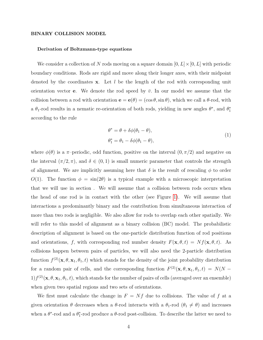#### BINARY COLLISION MODEL

#### Derivation of Boltzmann-type equations

We consider a collection of N rods moving on a square domain  $[0, L] \times [0, L]$  with periodic boundary conditions. Rods are rigid and move along their longer axes, with their midpoint denoted by the coordinates  $x$ . Let l be the length of the rod with corresponding unit orientation vector **e**. We denote the rod speed by  $\bar{v}$ . In our model we assume that the collision between a rod with orientation  $\mathbf{e} = \mathbf{e}(\theta) = (\cos \theta, \sin \theta)$ , which we call a  $\theta$ -rod, with a  $\theta_1$ -rod results in a nematic re-orientation of both rods, yielding in new angles  $\theta^*$ , and  $\theta_1^*$ according to the rule

$$
\theta^* = \theta + \delta\phi(\theta_1 - \theta),
$$
  
\n
$$
\theta_1^* = \theta_1 - \delta\phi(\theta_1 - \theta),
$$
\n(1)

<span id="page-3-0"></span>where  $\phi(\theta)$  is a  $\pi$ -periodic, odd function, positive on the interval  $(0, \pi/2)$  and negative on the interval  $(\pi/2, \pi)$ , and  $\delta \in (0, 1)$  is small numeric parameter that controls the strength of alignment. We are implicitly assuming here that  $\delta$  is the result of rescaling  $\phi$  to order  $O(1)$ . The function  $\phi = \sin(2\theta)$  is a typical example with a microscopic interpretation that we will use in section . We will assume that a collision between rods occurs when the head of one rod is in contact with the other (see Figure [1\)](#page-17-0). We will assume that interactions a predominantly binary and the contribution from simultaneous interaction of more than two rods is negligible. We also allow for rods to overlap each other spatially. We will refer to this model of alignment as a binary collision (BC) model. The probabilistic description of alignment is based on the one-particle distribution function of rod positions and orientations, f, with corresponding rod number density  $F(\mathbf{x}, \theta, t) = Nf(\mathbf{x}, \theta, t)$ . As collisions happen between pairs of particles, we will also need the 2-particle distribution function  $f^{(2)}(\mathbf{x},\theta,\mathbf{x}_1,\theta_1,t)$  which stands for the density of the joint probability distribution for a random pair of cells, and the corresponding function  $F^{(2)}(\mathbf{x},\theta,\mathbf{x}_1,\theta_1,t) = N(N 1/f^{(2)}(\mathbf{x},\theta,\mathbf{x}_1,\theta_1,t)$ , which stands for the number of pairs of cells (averaged over an ensemble) when given two spatial regions and two sets of orientations.

We first must calculate the change in  $F = Nf$  due to collisions. The value of f at a given orientation  $\theta$  decreases when a  $\theta$ -rod interacts with a  $\theta_1$ -rod  $(\theta_1 \neq \theta)$  and increases when a  $\theta^*$ -rod and a  $\theta^*$ -rod produce a  $\theta$ -rod post-collision. To describe the latter we need to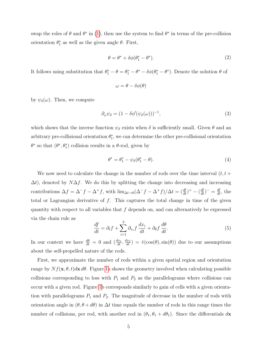swap the roles of  $\theta$  and  $\theta^*$  in [\(1\)](#page-3-0), then use the system to find  $\theta^*$  in terms of the pre-collision orientation  $\theta_1^*$  as well as the given angle  $\theta$ . First,

$$
\theta = \theta^* + \delta\phi(\theta_1^* - \theta^*). \tag{2}
$$

It follows using substitution that  $\theta_1^* - \theta = \theta_1^* - \theta^* - \delta\phi(\theta_1^* - \theta^*)$ . Denote the solution  $\theta$  of

$$
\omega = \theta - \delta\phi(\theta)
$$

by  $\psi_{\delta}(\omega)$ . Then, we compute

<span id="page-4-1"></span>
$$
\partial_{\omega}\psi_{\delta} = (1 - \delta\phi'(\psi_{\delta}(\omega)))^{-1},\tag{3}
$$

which shows that the inverse function  $\psi_{\delta}$  exists when  $\delta$  is sufficiently small. Given  $\theta$  and an arbitrary pre-collisional orientation  $\theta_1^*$ , we can determine the other pre-collisional orientation  $\theta^*$  so that  $(\theta^*, \theta_1^*)$  collision results in a  $\theta$ -rod, given by

<span id="page-4-0"></span>
$$
\theta^* = \theta_1^* - \psi_\delta(\theta_1^* - \theta). \tag{4}
$$

We now need to calculate the change in the number of rods over the time interval  $(t, t +$  $\Delta t$ , denoted by N $\Delta f$ . We do this by splitting the change into decreasing and increasing contributions  $\Delta f = \Delta^- f - \Delta^+ f$ , with  $\lim_{\Delta t \to 0} (\Delta^- f - \Delta^+ f)/\Delta t = (\frac{df}{dt})^+ - (\frac{df}{dt})^- = \frac{df}{dt}$ , the total or Lagrangian derivative of  $f$ . This captures the total change in time of the given quantity with respect to all variables that  $f$  depends on, and can alternatively be expressed via the chain rule as

$$
\frac{df}{dt} = \partial_t f + \sum_{i=1}^2 \partial_{x_i} f \frac{dx_i}{dt} + \partial_{\theta} f \frac{d\theta}{dt}.
$$
\n(5)

In our context we have  $\frac{d\theta}{dt} = 0$  and  $\left(\frac{dx_1}{dt}, \frac{dx_2}{dt}\right) = \bar{v}(\cos(\theta), \sin(\theta))$  due to our assumptions about the self-propelled nature of the rods.

First, we approximate the number of rods within a given spatial region and orientation range by  $Nf(\mathbf{x}, \theta, t)d\mathbf{x} d\theta$ . Figure [1a](#page-17-0) shows the geometry involved when calculating possible collisions corresponding to loss with  $P_1$  and  $P_2$  as the parallelograms where collisions can occur with a given rod. Figure [1b](#page-17-0) corresponds similarly to gain of cells with a given orientation with parallelograms  $P_1$  and  $P_2$ . The magnitude of decrease in the number of rods with orientation angle in  $(\theta, \theta + d\theta)$  in  $\Delta t$  time equals the number of rods in this range times the number of collisions, per rod, with another rod in  $(\theta_1, \theta_1 + d\theta_1)$ . Since the differentials  $d\mathbf{x}$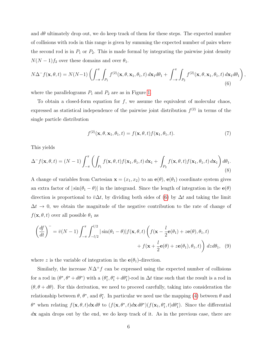and  $d\theta$  ultimately drop out, we do keep track of them for these steps. The expected number of collisions with rods in this range is given by summing the expected number of pairs where the second rod is in  $P_1$  or  $P_2$ . This is made formal by integrating the pairwise joint density  $N(N-1)f_2$  over these domains and over  $\theta_1$ .

<span id="page-5-0"></span>
$$
N\Delta^{-}f(\mathbf{x},\theta,t) = N(N-1)\left(\int_{-\pi}^{\pi}\int_{P_1}f^{(2)}(\mathbf{x},\theta,\mathbf{x}_1,\theta_1,t)\,d\mathbf{x}_1d\theta_1 + \int_{-\pi}^{\pi}\int_{P_2}f^{(2)}(\mathbf{x},\theta,\mathbf{x}_1,\theta_1,t)\,d\mathbf{x}_1d\theta_1\right)
$$
\n(6)

where the parallelograms  $P_1$  and  $P_2$  are as in Figure [1.](#page-17-0)

To obtain a closed-form equation for  $f$ , we assume the equivalent of molecular chaos, expressed as statistical independence of the pairwise joint distribution  $f^{(2)}$  in terms of the single particle distribution

$$
f^{(2)}(\mathbf{x}, \theta, \mathbf{x}_1, \theta_1, t) = f(\mathbf{x}, \theta, t) f(\mathbf{x}_1, \theta_1, t).
$$
 (7)

,

This yields

$$
\Delta^- f(\mathbf{x}, \theta, t) = (N - 1) \int_{-\pi}^{\pi} \left( \int_{P_1} f(\mathbf{x}, \theta, t) f(\mathbf{x}_1, \theta_1, t) d\mathbf{x}_1 + \int_{P_2} f(\mathbf{x}, \theta, t) f(\mathbf{x}_1, \theta_1, t) d\mathbf{x}_1 \right) d\theta_1.
$$
\n(8)

A change of variables from Cartesian  $\mathbf{x} = (x_1, x_2)$  to an  $\mathbf{e}(\theta)$ ,  $\mathbf{e}(\theta_1)$  coordinate system gives an extra factor of  $|\sin(\theta_1 - \theta)|$  in the integrand. Since the length of integration in the  $e(\theta)$ direction is proportional to  $\bar{v}\Delta t$ , by dividing both sides of [\(6\)](#page-5-0) by  $\Delta t$  and taking the limit  $\Delta t \rightarrow 0$ , we obtain the magnitude of the negative contribution to the rate of change of  $f(\mathbf{x}, \theta, t)$  over all possible  $\theta_1$  as

$$
\left(\frac{df}{dt}\right)^{-} = \bar{v}(N-1)\int_{-\pi}^{\pi}\int_{-l/2}^{l/2}|\sin(\theta_1 - \theta)|f(\mathbf{x}, \theta, t)\left(f(\mathbf{x} - \frac{l}{2}\mathbf{e}(\theta_1) + z\mathbf{e}(\theta), \theta_1, t)\right) + f(\mathbf{x} + \frac{l}{2}\mathbf{e}(\theta) + z\mathbf{e}(\theta_1), \theta_1, t)\right) dz d\theta_1, \quad (9)
$$

where z is the variable of integration in the  $e(\theta_1)$ -direction.

Similarly, the increase  $N\Delta^+f$  can be expressed using the expected number of collisions for a rod in  $(\theta^*, \theta^* + d\theta^*)$  with a  $(\theta^*_1, \theta^*_1 + d\theta^*_1)$ -rod in  $\Delta t$  time such that the result is a rod in  $(\theta, \theta + d\theta)$ . For this derivation, we need to proceed carefully, taking into consideration the relationship between  $\theta$ ,  $\theta^*$ , and  $\theta_1^*$ . In particular we need use the mapping [\(4\)](#page-4-0) between  $\theta$  and  $\theta^*$  when relating  $f(\mathbf{x}, \theta, t) d\mathbf{x} d\theta$  to  $(f(\mathbf{x}, \theta^*, t) d\mathbf{x} d\theta^*)(f(\mathbf{x}_1, \theta_1^*, t) d\theta_1^*)$ . Since the differential dx again drops out by the end, we do keep track of it. As in the previous case, there are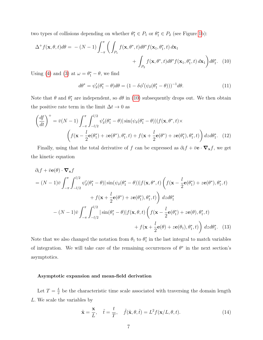two types of collisions depending on whether  $\theta_1^* \in P_1$  or  $\theta_1^* \in P_2$  (see Figure [1b](#page-17-0)):

$$
\Delta^+ f(\mathbf{x}, \theta, t) d\theta = -(N-1) \int_{-\pi}^{\pi} \left( \int_{P_1} f(\mathbf{x}, \theta^*, t) d\theta^* f(\mathbf{x}_1, \theta_1^*, t) d\mathbf{x}_1 + \int_{P_2} f(\mathbf{x}, \theta^*, t) d\theta^* f(\mathbf{x}_1, \theta_1^*, t) d\mathbf{x}_1 \right) d\theta_1^*.
$$
 (10)

Using [\(4\)](#page-4-0) and [\(3\)](#page-4-1) at  $\omega = \theta_1^* - \theta$ , we find

<span id="page-6-0"></span>
$$
d\theta^* = \psi_\delta'(\theta_1^* - \theta)d\theta = (1 - \delta\phi'(\psi_\delta(\theta_1^* - \theta)))^{-1}d\theta.
$$
\n(11)

Note that  $\theta$  and  $\theta_1^*$  are independent, so  $d\theta$  in [\(10\)](#page-6-0) subsequently drops out. We then obtain the positive rate term in the limit  $\Delta t \to 0$  as

$$
\left(\frac{df}{dt}\right)^{+} = \bar{v}(N-1)\int_{-\pi}^{\pi}\int_{-l/2}^{l/2}\psi_{\delta}'(\theta_{1}^{*}-\theta)|\sin(\psi_{\delta}(\theta_{1}^{*}-\theta))|f(\mathbf{x},\theta^{*},t)\times
$$

$$
\left(f(\mathbf{x}-\frac{l}{2}\mathbf{e}(\theta_{1}^{*})+z\mathbf{e}(\theta^{*}),\theta_{1}^{*},t)+f(\mathbf{x}+\frac{l}{2}\mathbf{e}(\theta^{*})+z\mathbf{e}(\theta_{1}^{*}),\theta_{1}^{*},t)\right)dzd\theta_{1}^{*}.\quad(12)
$$

Finally, using that the total derivative of f can be expressed as  $\partial_t f + \bar{v} e \cdot \nabla_x f$ , we get the kinetic equation

$$
\partial_t f + \bar{v} \mathbf{e}(\theta) \cdot \nabla_{\mathbf{x}} f
$$
  
=  $(N-1)\bar{v} \int_{-\pi}^{\pi} \int_{-l/2}^{l/2} \psi_{\delta}'(\theta_1^* - \theta) |\sin(\psi_{\delta}(\theta_1^* - \theta))| f(\mathbf{x}, \theta^*, t) \left( f(\mathbf{x} - \frac{l}{2} \mathbf{e}(\theta_1^*) + z \mathbf{e}(\theta^*), \theta_1^*, t) + f(\mathbf{x} + \frac{l}{2} \mathbf{e}(\theta^*) + z \mathbf{e}(\theta_1^*), \theta_1^*, t) \right) dz d\theta_1^*$   

$$
- (N-1)\bar{v} \int_{-\pi}^{\pi} \int_{-l/2}^{l/2} |\sin(\theta_1^* - \theta)| f(\mathbf{x}, \theta, t) \left( f(\mathbf{x} - \frac{l}{2} \mathbf{e}(\theta_1^*) + z \mathbf{e}(\theta), \theta_1^*, t) + f(\mathbf{x} + \frac{l}{2} \mathbf{e}(\theta) + z \mathbf{e}(\theta_1), \theta_1^*, t) \right) dz d\theta_1^*.
$$
 (13)

Note that we also changed the notation from  $\theta_1$  to  $\theta_1^*$  in the last integral to match variables of integration. We will take care of the remaining occurrences of  $\theta^*$  in the next section's asymptotics.

## Asymptotic expansion and mean-field derivation

Let  $T=\frac{L}{\bar{v}}$  $\frac{L}{\bar{v}}$  be the characteristic time scale associated with traversing the domain length L. We scale the variables by

$$
\tilde{\mathbf{x}} = \frac{\mathbf{x}}{L}, \quad \tilde{t} = \frac{t}{T}, \quad \tilde{f}(\tilde{\mathbf{x}}, \theta, \tilde{t}) = L^2 f(\mathbf{x}/L, \theta, t). \tag{14}
$$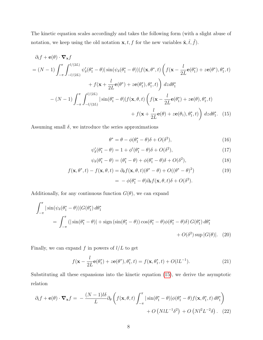The kinetic equation scales accordingly and takes the following form (with a slight abuse of notation, we keep using the old notation  $\mathbf{x}, t, f$  for the new variables  $\tilde{\mathbf{x}}, \tilde{t}, \tilde{f}$ .

$$
\partial_t f + \mathbf{e}(\theta) \cdot \nabla_{\mathbf{x}} f
$$
\n
$$
= (N-1) \int_{-\pi}^{\pi} \int_{-l/(2L)}^{l/(2L)} \psi_{\delta}(\theta_1^* - \theta) |\sin(\psi_{\delta}(\theta_1^* - \theta))| f(\mathbf{x}, \theta^*, t) \left( f(\mathbf{x} - \frac{l}{2L} \mathbf{e}(\theta_1^*) + z \mathbf{e}(\theta^*, \theta_1^*, t) + f(\mathbf{x} + \frac{l}{2L} \mathbf{e}(\theta^*) + z \mathbf{e}(\theta_1^*, \theta_1^*, t) \right) dz d\theta_1^*
$$
\n
$$
- (N-1) \int_{-\pi}^{\pi} \int_{-l/(2L)}^{l/(2L)} |\sin(\theta_1^* - \theta)| f(\mathbf{x}, \theta, t) \left( f(\mathbf{x} - \frac{l}{2L} \mathbf{e}(\theta_1^*) + z \mathbf{e}(\theta), \theta_1^*, t) + f(\mathbf{x} + \frac{l}{2L} \mathbf{e}(\theta) + z \mathbf{e}(\theta_1), \theta_1^*, t) \right) dz d\theta_1^*.
$$
\n(15)

Assuming small  $\delta$ , we introduce the series approximations

<span id="page-7-0"></span>
$$
\theta^* = \theta - \phi(\theta_1^* - \theta)\delta + O(\delta^2),\tag{16}
$$

$$
\psi_{\delta}'(\theta_1^* - \theta) = 1 + \phi'(\theta_1^* - \theta)\delta + O(\delta^2),\tag{17}
$$

$$
\psi_{\delta}(\theta_1^* - \theta) = (\theta_1^* - \theta) + \phi(\theta_1^* - \theta)\delta + O(\delta^2), \tag{18}
$$

$$
f(\mathbf{x}, \theta^*, t) - f(\mathbf{x}, \theta, t) = \partial_{\theta} f(\mathbf{x}, \theta, t) (\theta^* - \theta) + O((\theta^* - \theta)^2)
$$
  
=  $-\phi(\theta_1^* - \theta) \partial_{\theta} f(\mathbf{x}, \theta, t) \delta + O(\delta^2).$  (19)

Additionally, for any continuous function  $G(\theta)$ , we can expand

$$
\int_{-\pi}^{\pi} |\sin(\psi_{\delta}(\theta_1^* - \theta))| G(\theta_1^*) d\theta_1^*
$$
  
= 
$$
\int_{-\pi}^{\pi} (|\sin(\theta_1^* - \theta)| + \operatorname{sign} (\sin(\theta_1^* - \theta)) \cos(\theta_1^* - \theta) \phi(\theta_1^* - \theta) \delta) G(\theta_1^*) d\theta_1^*
$$
  
+ 
$$
O(\delta^2) \sup |G(\theta)|.
$$
 (20)

Finally, we can expand  $f$  in powers of  $l/L$  to get

<span id="page-7-1"></span>
$$
f(\mathbf{x} - \frac{l}{2L}\mathbf{e}(\theta_1^*) + z\mathbf{e}(\theta^*), \theta_1^*, t) = f(\mathbf{x}, \theta_1^*, t) + O(lL^{-1}).
$$
\n(21)

Substituting all these expansions into the kinetic equation [\(15\)](#page-7-0), we derive the asymptotic relation

$$
\partial_t f + \mathbf{e}(\theta) \cdot \nabla_{\mathbf{x}} f = -\frac{(N-1)l\delta}{L} \partial_{\theta} \left( f(\mathbf{x}, \theta, t) \int_{-\pi}^{\pi} |\sin(\theta_1^* - \theta)| \phi(\theta_1^* - \theta) f(\mathbf{x}, \theta_1^*, t) d\theta_1^* \right) + O\left(NlL^{-1}\delta^2\right) + O\left(Nl^2L^{-2}\delta\right). \tag{22}
$$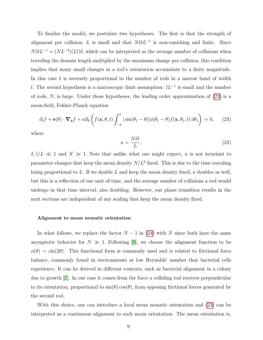To finalize the model, we postulate two hypotheses. The first is that the strength of alignment per collision,  $\delta$ , is small and that  $N l \delta L^{-1}$  is non-vanishing and finite. Since  $Nl\delta L^{-1} = (NL^{-2})(Ll)\delta$ , which can be interpreted as the average number of collisions when traveling the domain length multiplied by the maximum change per collision, this condition implies that many small changes in a rod's orientation accumulate to a finite magnitude. In this case  $\delta$  is inversely proportional to the number of rods in a narrow band of width l. The second hypothesis is a macroscopic limit assumption:  $lL^{-1}$  is small and the number of rods, N, is large. Under these hypotheses, the leading order approximation of [\(22\)](#page-7-1) is a mean-field, Fokker-Planck equation

<span id="page-8-1"></span>
$$
\partial_t f + \mathbf{e}(\theta) \cdot \nabla_{\mathbf{x}} f + \kappa \partial_{\theta} \left( f(\mathbf{x}, \theta, t) \int_{-\pi}^{\pi} |\sin(\theta_1 - \theta)| \phi(\theta_1 - \theta) f(\mathbf{x}, \theta_1, t) d\theta_1 \right) = 0, \quad (23)
$$

where

<span id="page-8-0"></span>
$$
\kappa = \frac{N l \delta}{L},\tag{24}
$$

 $\delta, l/L \ll 1$  and  $N \gg 1$ . Note that unlike what one might expect,  $\kappa$  is not invariant to parameter changes that keep the mean density  $N/L^2$  fixed. This is due to the time rescaling being proportional to L. If we double L and keep the mean density fixed,  $\kappa$  doubles as well, but this is a reflection of one unit of time, and the average number of collisions a rod would undergo in that time interval, also doubling. However, our phase transition results in the next sections are independent of any scaling that keep the mean density fixed.

#### Alignment to mean nematic orientation

In what follows, we replace the factor  $N-1$  in [\(24\)](#page-8-0) with N since both have the same asymptotic behavior for  $N \gg 1$ . Following [\[9\]](#page-15-5), we choose the alignment function to be  $\phi(\theta) = \sin(2\theta)$ . This functional form is commonly used and is related to frictional force balance, commonly found in environments at low Reynolds' number that bacterial cells experience. It can be derived in different contexts, such as bacterial alignment in a colony due to growth [\[2\]](#page-15-12). In our case it comes from the force a colliding rod receives perpendicular to its orientation, proportional to  $\sin(\theta) \cos(\theta)$ , from opposing frictional forces generated by the second rod.

With this choice, one can introduce a local mean nematic orientation and [\(23\)](#page-8-1) can be interpreted as a continuous alignment to such mean orientation. The mean orientation is,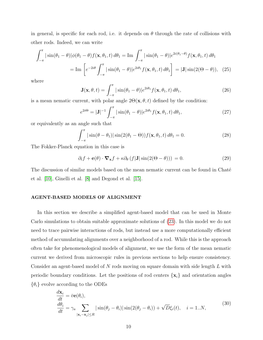in general, is specific for each rod, i.e. it depends on  $\theta$  through the rate of collisions with other rods. Indeed, we can write

$$
\int_{-\pi}^{\pi} |\sin(\theta_1 - \theta)| \phi(\theta_1 - \theta) f(\mathbf{x}, \theta_1, t) d\theta_1 = \text{Im} \int_{-\pi}^{\pi} |\sin(\theta_1 - \theta)| e^{2i(\theta_1 - \theta)} f(\mathbf{x}, \theta_1, t) d\theta_1
$$

$$
= \text{Im} \left[ e^{-2i\theta} \int_{-\pi}^{\pi} |\sin(\theta_1 - \theta)| e^{2i\theta_1} f(\mathbf{x}, \theta_1, t) d\theta_1 \right] = |\mathbf{J}| \sin(2(\Theta - \theta)), \quad (25)
$$

where

$$
\mathbf{J}(\mathbf{x}, \theta, t) = \int_{-\pi}^{\pi} |\sin(\theta_1 - \theta)| e^{2i\theta_1} f(\mathbf{x}, \theta_1, t) d\theta_1,
$$
 (26)

is a mean nematic current, with polar angle  $2\Theta(\mathbf{x}, \theta, t)$  defined by the condition:

$$
e^{2i\Theta} = |\mathbf{J}|^{-1} \int_{-\pi}^{\pi} |\sin(\theta_1 - \theta)| e^{2i\theta_1} f(\mathbf{x}, \theta_1, t) d\theta_1,
$$
 (27)

or equivalently as an angle such that

$$
\int_{-\pi}^{\pi} |\sin(\theta - \theta_1)| \sin(2(\theta_1 - \Theta)) f(\mathbf{x}, \theta_1, t) d\theta_1 = 0.
$$
 (28)

The Fokker-Planck equation in this case is

$$
\partial_t f + \mathbf{e}(\theta) \cdot \nabla_{\mathbf{x}} f + \kappa \partial_{\theta} (f|\mathbf{J}| \sin(2(\Theta - \theta))) = 0.
$$
 (29)

The discussion of similar models based on the mean nematic current can be found in Chaté et al. [\[10\]](#page-15-4), Ginelli et al. [\[8\]](#page-15-6) and Degond et al. [\[15\]](#page-16-4).

## AGENT-BASED MODELS OF ALIGNMENT

In this section we describe a simplified agent-based model that can be used in Monte Carlo simulations to obtain suitable approximate solutions of [\(23\)](#page-8-1). In this model we do not need to trace pairwise interactions of rods, but instead use a more computationally efficient method of accumulating alignments over a neighborhood of a rod. While this is the approach often take for phenomenological models of alignment, we use the form of the mean nematic current we derived from microscopic rules in previous sections to help ensure consistency. Consider an agent-based model of N rods moving on square domain with side length L with periodic boundary conditions. Let the positions of rod centers  $\{x_i\}$  and orientation angles  $\{\theta_i\}$  evolve according to the ODEs

<span id="page-9-0"></span>
$$
\frac{d\mathbf{x}_i}{dt} = \bar{v}\mathbf{e}(\theta_i),
$$
\n
$$
\frac{d\theta_i}{dt} = \gamma_a \sum_{|\mathbf{x}_i - \mathbf{x}_j| \le R} |\sin(\theta_j - \theta_i)| \sin(2(\theta_j - \theta_i)) + \sqrt{D}\xi_i(t), \quad i = 1..N,
$$
\n(30)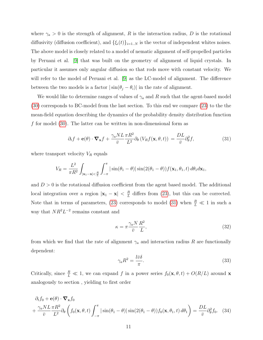where  $\gamma_a > 0$  is the strength of alignment, R is the interaction radius, D is the rotational diffusivity (diffusion coefficient), and  $\{\xi_i(t)\}_{i=1..N}$  is the vector of independent whites noises. The above model is closely related to a model of nematic alignment of self-propelled particles by Peruani et al. [\[9\]](#page-15-5) that was built on the geometry of alignment of liquid crystals. In particular it assumes only angular diffusion so that rods move with constant velocity. We will refer to the model of Peruani et al. [\[9\]](#page-15-5) as the LC-model of alignment. The difference between the two models is a factor  $|\sin(\theta_j - \theta_i)|$  in the rate of alignment.

We would like to determine ranges of values of  $\gamma_a$  and R such that the agent-based model [\(30\)](#page-9-0) corresponds to BC-model from the last section. To this end we compare [\(23\)](#page-8-1) to the the mean-field equation describing the dynamics of the probability density distribution function f for model [\(30\)](#page-9-0). The latter can be written in non-dimensional form as

<span id="page-10-0"></span>
$$
\partial_t f + \mathbf{e}(\theta) \cdot \nabla_{\mathbf{x}} f + \frac{\gamma_a NL}{\bar{v}} \frac{\pi R^2}{L^2} \partial_{\theta} \left( V_R f(\mathbf{x}, \theta, t) \right) = \frac{DL}{\bar{v}} \partial_{\theta}^2 f,
$$
\n(31)

where transport velocity  $V_R$  equals

$$
V_R = \frac{L^2}{\pi R^2} \int_{|\mathbf{x}_1 - \mathbf{x}| < \frac{R}{L}} \int_{-\pi}^{\pi} |\sin(\theta_1 - \theta)| \sin(2(\theta_1 - \theta)) f(\mathbf{x}_1, \theta_1, t) d\theta_1 d\mathbf{x}_1,
$$

and  $D > 0$  is the rotational diffusion coefficient from the agent based model. The additional local integration over a region  $|\mathbf{x}_1 - \mathbf{x}| < \frac{R}{L}$  $\frac{R}{L}$  differs from [\(23\)](#page-8-1), but this can be corrected. Note that in terms of parameters, [\(23\)](#page-8-1) corresponds to model [\(31\)](#page-10-0) when  $\frac{R}{L} \ll 1$  in such a way that  $NR^2L^{-2}$  remains constant and

$$
\kappa = \pi \frac{\gamma_a N}{\bar{v}} \frac{R^2}{L},\tag{32}
$$

from which we find that the rate of alignment  $\gamma_a$  and interaction radius R are functionally dependent:

$$
\gamma_a R^2 = \frac{l\bar{v}\delta}{\pi}.\tag{33}
$$

Critically, since  $\frac{R}{L} \ll 1$ , we can expand f in a power series  $f_0(\mathbf{x}, \theta, t) + O(R/L)$  around **x** analogously to section , yielding to first order

$$
\partial_t f_0 + \mathbf{e}(\theta) \cdot \nabla_{\mathbf{x}} f_0
$$
  
+ 
$$
\frac{\gamma_a NL}{\bar{v}} \frac{\pi R^2}{L^2} \partial_{\theta} \left( f_0(\mathbf{x}, \theta, t) \int_{-\pi}^{\pi} |\sin(\theta_1 - \theta)| \sin(2(\theta_1 - \theta)) f_0(\mathbf{x}, \theta_1, t) d\theta_1 \right) = \frac{DL}{\bar{v}} \partial_{\theta}^2 f_0.
$$
 (34)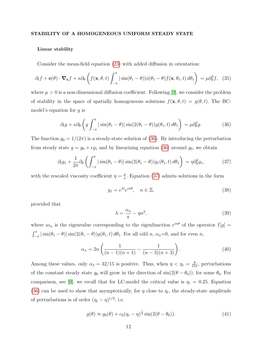#### STABILITY OF A HOMOGENEOUS UNIFORM STEADY STATE

#### Linear stability

Consider the mean-field equation [\(23\)](#page-8-1) with added diffusion in orientation:

$$
\partial_t f + \mathbf{e}(\theta) \cdot \nabla_{\mathbf{x}} f + \kappa \partial_{\theta} \left( f(\mathbf{x}, \theta, t) \int_{-\pi}^{\pi} |\sin(\theta_1 - \theta)| \phi(\theta_1 - \theta) f(\mathbf{x}, \theta_1, t) d\theta_1 \right) = \mu \partial_{\theta}^2 f, \quad (35)
$$

where  $\mu > 0$  is a non-dimensional diffusion coefficient. Following [\[9\]](#page-15-5), we consider the problem of stability in the space of spatially homogeneous solutions  $f(\mathbf{x}, \theta, t) = g(\theta, t)$ . The BCmodel's equation for  $q$  is

<span id="page-11-0"></span>
$$
\partial_t g + \kappa \partial_\theta \left( g \int_{-\pi}^{\pi} |\sin(\theta_1 - \theta)| \sin(2(\theta_1 - \theta)) g(\theta_1, t) d\theta_1 \right) = \mu \partial_\theta^2 g. \tag{36}
$$

The function  $g_0 = 1/(2\pi)$  is a steady-state solution of [\(36\)](#page-11-0). By introducing the perturbation from steady state  $g = g_0 + \epsilon g_1$  and by linearizing equation [\(36\)](#page-11-0) around  $g_0$ , we obtain

<span id="page-11-1"></span>
$$
\partial_t g_1 + \frac{1}{2\pi} \partial_\theta \left( \int_{-\pi}^\pi |\sin(\theta_1 - \theta)| \sin(2(\theta_1 - \theta)) g_1(\theta_1, t) d\theta_1 \right) = \eta \partial_\theta^2 g_1,\tag{37}
$$

with the rescaled viscosity coefficient  $\eta = \frac{\mu}{r}$  $\frac{\mu}{\kappa}$ . Equation [\(37\)](#page-11-1) admits solutions in the form

$$
g_1 = e^{\lambda t} e^{in\theta}, \quad n \in \mathbb{Z}, \tag{38}
$$

provided that

$$
\lambda = \frac{\alpha_n}{\pi} - \eta n^2,\tag{39}
$$

where  $i\alpha_n$  is the eigenvalue corresponding to the eigenfunction  $e^{in\theta}$  of the operator  $I[g] =$  $\int_{-\pi}^{\pi} |\sin(\theta_1 - \theta)| \sin(2(\theta_1 - \theta)) g(\theta_1, t) d\theta_1$ . For all odd n,  $\alpha_n = 0$ , and for even n,

$$
\alpha_n = 2n \left( \frac{1}{(n-1)(n+1)} - \frac{1}{(n-3)(n+3)} \right). \tag{40}
$$

Among these values, only  $\alpha_2 = 32/15$  is positive. Thus, when  $\eta < \eta_c = \frac{8}{15}$  $\frac{8}{15\pi}$ , perturbations of the constant steady state  $g_0$  will grow in the direction of  $sin(2(\theta - \theta_0))$ , for some  $\theta_0$ . For comparison, see [\[9\]](#page-15-5), we recall that for LC-model the critical value is  $\eta_c = 0.25$ . Equation [\(36\)](#page-11-0) can be used to show that asymptotically, for  $\eta$  close to  $\eta_c$ , the steady-state amplitude of perturbations is of order  $(\eta_c - \eta)^{1/2}$ , i.e.

$$
g(\theta) \approx g_0(\theta) + c_0(\eta_c - \eta)^{\frac{1}{2}} \sin(2(\theta - \theta_0)). \tag{41}
$$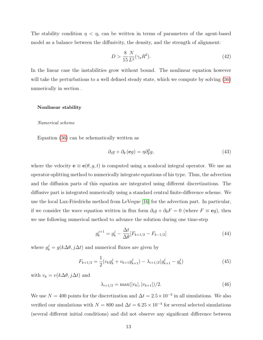The stability condition  $\eta < \eta_c$  can be written in terms of parameters of the agent-based model as a balance between the diffusivity, the density, and the strength of alignment:

$$
D > \frac{8}{15} \frac{N}{L^2} (\gamma_a R^2).
$$
 (42)

In the linear case the instabilities grow without bound. The nonlinear equation however will take the perturbations to a well defined steady state, which we compute by solving [\(36\)](#page-11-0) numerically in section .

#### Nonlinear stability

#### Numerical scheme

Equation [\(36\)](#page-11-0) can be schematically written as

$$
\partial_t g + \partial_\theta (\mathbf{e}g) = \eta \partial_\theta^2 g,\tag{43}
$$

where the velocity  $\mathbf{e} \equiv \mathbf{e}(\theta, g, t)$  is computed using a nonlocal integral operator. We use an operator-splitting method to numerically integrate equations of his type. Thus, the advection and the diffusion parts of this equation are integrated using different discretizations. The diffusive part is integrated numerically using a standard central finite-difference scheme. We use the local Lax-Friedrichs method from LeVeque [\[16\]](#page-16-6) for the advection part. In particular, if we consider the wave equation written in flux form  $\partial_t g + \partial_\theta F = 0$  (where  $F \equiv \mathbf{e} g$ ), then we use following numerical method to advance the solution during one time-step

$$
g_k^{j+1} = g_k^j - \frac{\Delta t}{\Delta \theta} [F_{k+1/2} - F_{k-1/2}] \tag{44}
$$

where  $g_k^j = g(k\Delta\theta, j\Delta t)$  and numerical fluxes are given by

$$
F_{k+1/2} = \frac{1}{2} (v_k g_k^j + v_{k+1} g_{k+1}^j) - \lambda_{i+1/2} (g_{k+1}^j - g_k^j)
$$
(45)

with  $v_k = v(k\Delta\theta, j\Delta t)$  and

$$
\lambda_{i+1/2} = \max(|v_k|, |v_{k+1}|)/2. \tag{46}
$$

We use  $N = 400$  points for the discretization and  $\Delta t = 2.5 \times 10^{-3}$  in all simulations. We also verified our simulations with  $N = 800$  and  $\Delta t = 6.25 \times 10^{-4}$  for several selected simulations (several different initial conditions) and did not observe any significant difference between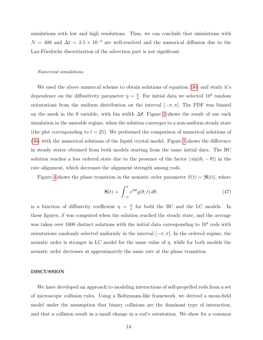simulations with low and high resolutions. Thus, we can conclude that simulations with  $N = 400$  and  $\Delta t = 2.5 \times 10^{-3}$  are well-resolved and the numerical diffusion due to the Lax-Friedrichs discretization of the advection part is not significant.

#### Numerical simulations

We used the above numercal scheme to obtain solutions of equation [\(36\)](#page-11-0) and study it's dependence on the diffusitivity parameter  $\eta = \frac{\mu}{g}$  $\frac{\mu}{\kappa}$ . For initial data we selected  $10^4$  random orientations from the uniform distribution on the interval  $[-\pi, \pi]$ . The PDF was binned on the mesh in the  $\theta$  variable, with bin width  $\Delta\theta$ . Figure [2](#page-18-0) shows the result of one such simulation in the unstable regime, when the solution converges to a non-uniform steady state (the plot corresponding to  $t = 25$ ). We preformed the comparison of numerical solutions of [\(36\)](#page-11-0) with the numerical solutions of the liquid crystal model. Figure [3](#page-18-1) shows the difference in steady states obtained from both models starting from the same initial data. The BC solution reaches a less ordered state due to the presence of the factor  $|\sin(\theta_1 - \theta)|$  in the rate alignment, which decreases the alignment strength among rods.

Figure [4](#page-19-0) shows the phase transition in the nematic order parameter  $S(t) = |\mathbf{S}(t)|$ , where

$$
\mathbf{S}(t) = \int_{-\pi}^{\pi} e^{2i\theta} g(\theta, t) d\theta,\tag{47}
$$

is a function of diffusivity coefficient  $\eta = \frac{\mu}{g}$  $\frac{\mu}{\kappa}$  for both the BC and the LC models. In these figures, S was computed when the solution reached the steady state, and the average was taken over 1000 distinct solutions with the initial data corresponding to  $10<sup>4</sup>$  rods with orientations randomly selected uniformly in the interval  $[-\pi, \pi]$ . In the ordered regime, the nematic order is stronger in LC model for the same value of  $\eta$ , while for both models the nematic order decreases at approximately the same rate at the phase transition.

## DISCUSSION

We have developed an approach to modeling interactions of self-propelled rods from a set of microscopic collision rules. Using a Boltzmann-like framework, we derived a mean-field model under the assumption that binary collisions are the dominant type of interaction, and that a collision result in a small change in a rod's orientation. We show for a common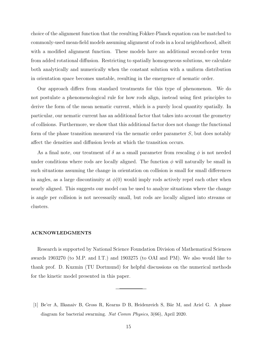choice of the alignment function that the resulting Fokker-Planck equation can be matched to commonly-used mean-field models assuming alignment of rods in a local neighborhood, albeit with a modified alignment function. These models have an additional second-order term from added rotational diffusion. Restricting to spatially homogeneous solutions, we calculate both analytically and numerically when the constant solution with a uniform distribution in orientation space becomes unstable, resulting in the emergence of nematic order.

Our approach differs from standard treatments for this type of phenomenon. We do not postulate a phenomenological rule for how rods align, instead using first principles to derive the form of the mean nematic current, which is a purely local quantity spatially. In particular, our nematic current has an additional factor that takes into account the geometry of collisions. Furthermore, we show that this additional factor does not change the functional form of the phase transition measured via the nematic order parameter S, but does notably affect the densities and diffusion levels at which the transition occurs.

As a final note, our treatment of  $\delta$  as a small parameter from rescaling  $\phi$  is not needed under conditions where rods are locally aligned. The function  $\phi$  will naturally be small in such situations assuming the change in orientation on collision is small for small differences in angles, as a large discontinuity at  $\phi(0)$  would imply rods actively repel each other when nearly aligned. This suggests our model can be used to analyze situations where the change is angle per collision is not necessarily small, but rods are locally aligned into streams or clusters.

#### ACKNOWLEDGMENTS

Research is supported by National Science Foundation Division of Mathematical Sciences awards 1903270 (to M.P. and I.T.) and 1903275 (to OAI and PM). We also would like to thank prof. D. Kuzmin (TU Dortmund) for helpful discussions on the numerical methods for the kinetic model presented in this paper.

<span id="page-14-0"></span><sup>[1]</sup> Be'er A, Ilkanaiv B, Gross R, Kearns D B, Heidenreich S, Bär M, and Ariel G. A phase diagram for bacterial swarming. Nat Comm Physics, 3(66), April 2020.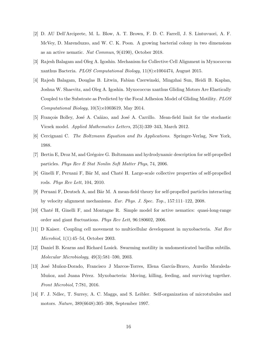- <span id="page-15-12"></span>[2] D. AU Dell'Arciprete, M. L. Blow, A. T. Brown, F. D. C. Farrell, J. S. Lintuvuori, A. F. McVey, D. Marenduzzo, and W. C. K. Poon. A growing bacterial colony in two dimensions as an active nematic. Nat Commun, 9(4190), October 2018.
- <span id="page-15-0"></span>[3] Rajesh Balagam and Oleg A. Igoshin. Mechanism for Collective Cell Alignment in Myxococcus xanthus Bacteria. PLOS Computational Biology, 11(8):e1004474, August 2015.
- <span id="page-15-1"></span>[4] Rajesh Balagam, Douglas B. Litwin, Fabian Czerwinski, Mingzhai Sun, Heidi B. Kaplan, Joshua W. Shaevitz, and Oleg A. Igoshin. Myxococcus xanthus Gliding Motors Are Elastically Coupled to the Substrate as Predicted by the Focal Adhesion Model of Gliding Motility. PLOS Computational Biology, 10(5):e1003619, May 2014.
- <span id="page-15-7"></span>[5] François Bolley, José A. Cañizo, and José A. Carrillo. Mean-field limit for the stochastic Vicsek model. Applied Mathematics Letters, 25(3):339–343, March 2012.
- <span id="page-15-11"></span>[6] Cercignani C. The Boltzmann Equation and Its Applications. Springer-Verlag, New York, 1988.
- <span id="page-15-8"></span>[7] Bertin E, Droz M, and Grégoire G. Boltzmann and hydrodynamic description for self-propelled particles. Phys Rev E Stat Nonlin Soft Matter Phys, 74, 2006.
- <span id="page-15-6"></span>[8] Ginelli F, Peruani F, Bär M, and Chaté H. Large-scale collective properties of self-propelled rods. Phys Rev Lett, 104, 2010.
- <span id="page-15-5"></span>[9] Peruani F, Deutsch A, and Bär M. A mean-field theory for self-propelled particles interacting by velocity alignment mechanisms. Eur. Phys. J. Spec. Top., 157:111–122, 2008.
- <span id="page-15-4"></span>[10] Chat´e H, Ginelli F, and Montagne R. Simple model for active nematics: quasi-long-range order and giant fluctuations. Phys Rev Lett, 96:180602, 2006.
- <span id="page-15-2"></span>[11] D Kaiser. Coupling cell movement to multicellular development in myxobacteria. Nat Rev Microbiol, 1(1):45–54, October 2003.
- <span id="page-15-10"></span>[12] Daniel B. Kearns and Richard Losick. Swarming motility in undomesticated bacillus subtilis. Molecular Microbiology, 49(3):581–590, 2003.
- <span id="page-15-9"></span>[13] José Muñoz-Dorado, Francisco J Marcos-Torres, Elena García-Bravo, Aurelio Moraleda-Muñoz, and Juana Pérez. Myxobacteria: Moving, killing, feeding, and surviving together. Front Microbiol, 7:781, 2016.
- <span id="page-15-3"></span>[14] F. J. Ndlec, T. Surrey, A. C. Maggs, and S. Leibler. Self-organization of microtubules and motors. Nature, 389(6648):305–308, September 1997.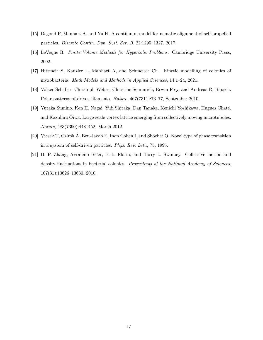- <span id="page-16-4"></span>[15] Degond P, Manhart A, and Yu H. A continuum model for nematic alignment of self-propelled particles. Discrete Contin. Dyn. Syst. Ser. B, 22:1295–1327, 2017.
- <span id="page-16-6"></span>[16] LeVeque R. Finite Volume Methods for Hyperbolic Problems. Cambridge University Press, 2002.
- <span id="page-16-5"></span>[17] Hittmeir S, Kanzler L, Manhart A, and Schmeiser Ch. Kinetic modelling of colonies of myxobacteria. Math Models and Methods in Applied Sciences, 14:1–24, 2021.
- <span id="page-16-1"></span>[18] Volker Schaller, Christoph Weber, Christine Semmrich, Erwin Frey, and Andreas R. Bausch. Polar patterns of driven filaments. Nature, 467(7311):73–77, September 2010.
- <span id="page-16-2"></span>[19] Yutaka Sumino, Ken H. Nagai, Yuji Shitaka, Dan Tanaka, Kenichi Yoshikawa, Hugues Chat´e, and Kazuhiro Oiwa. Large-scale vortex lattice emerging from collectively moving microtubules. Nature, 483(7390):448–452, March 2012.
- <span id="page-16-3"></span>[20] Vicsek T, Czirók A, Ben-Jacob E, Inon Cohen I, and Shochet O. Novel type of phase transition in a system of self-driven particles. Phys. Rev. Lett., 75, 1995.
- <span id="page-16-0"></span>[21] H. P. Zhang, Avraham Be'er, E.-L. Florin, and Harry L. Swinney. Collective motion and density fluctuations in bacterial colonies. Proceedings of the National Academy of Sciences, 107(31):13626–13630, 2010.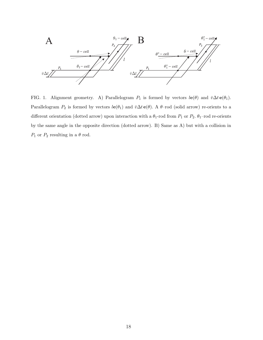

<span id="page-17-0"></span>FIG. 1. Alignment geometry. A) Parallelogram  $P_1$  is formed by vectors  $l\mathbf{e}(\theta)$  and  $\bar{v}\Delta t\mathbf{e}(\theta_1)$ . Parallelogram  $P_2$  is formed by vectors  $l\mathbf{e}(\theta_1)$  and  $\bar{v}\Delta t\mathbf{e}(\theta)$ . A  $\theta$ -rod (solid arrow) re-orients to a different orientation (dotted arrow) upon interaction with a  $\theta_1$ -rod from  $P_1$  or  $P_2$ .  $\theta_1$ -rod re-orients by the same angle in the opposite direction (dotted arrow). B) Same as A) but with a collision in  $P_1$  or  $P_2$  resulting in a  $\theta$  rod.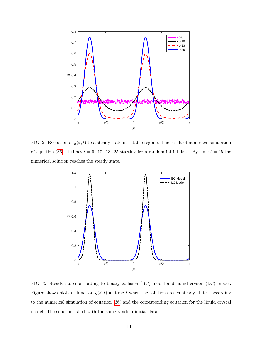

<span id="page-18-0"></span>FIG. 2. Evolution of  $g(\theta, t)$  to a steady state in ustable regime. The result of numerical simulation of equation [\(36\)](#page-11-0) at times  $t = 0$ , 10, 13, 25 starting from random initial data. By time  $t = 25$  the numerical solution reaches the steady state.



<span id="page-18-1"></span>FIG. 3. Steady states according to binary collision (BC) model and liquid crystal (LC) model. Figure shows plots of function  $g(\theta, t)$  at time t when the solutions reach steady states, according to the numerical simulation of equation [\(36\)](#page-11-0) and the corresponding equation for the liquid crystal model. The solutions start with the same random initial data.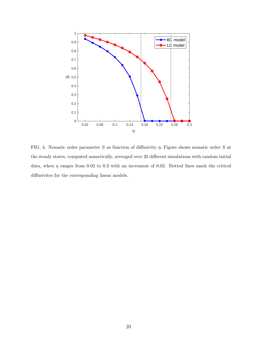

<span id="page-19-0"></span>FIG. 4. Nematic order parameter S as function of diffusivity  $\eta$ . Figure shows nematic order S at the steady states, computed numerically, averaged over 20 different simulations with random initial data, when  $\eta$  ranges from 0.02 to 0.3 with an increment of 0.02. Dotted lines mark the critical diffusivites for the corresponding linear models.